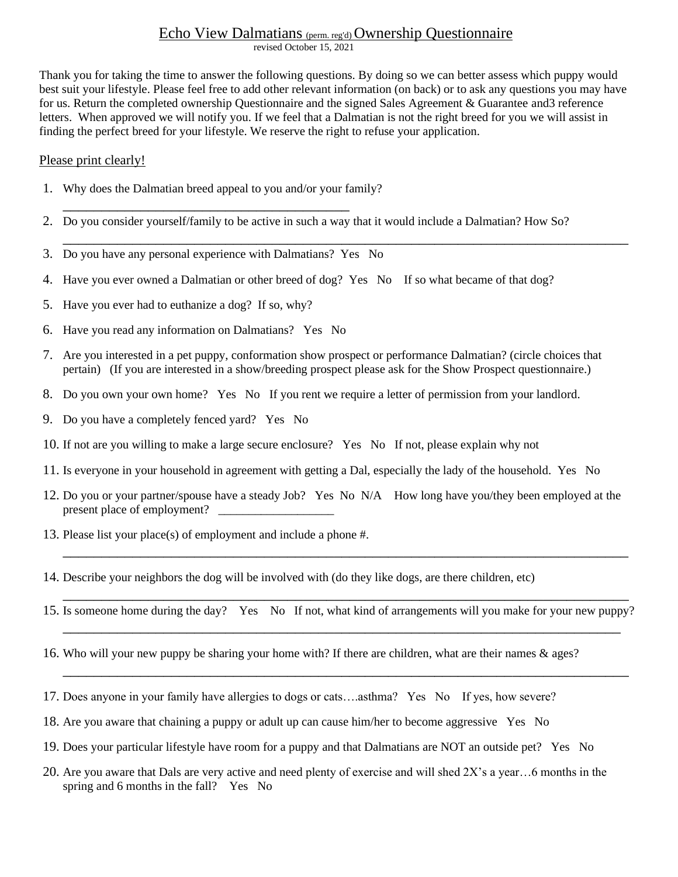## Echo View Dalmatians (perm. reg'd) Ownership Questionnaire

revised October 15, 2021

Thank you for taking the time to answer the following questions. By doing so we can better assess which puppy would best suit your lifestyle. Please feel free to add other relevant information (on back) or to ask any questions you may have for us. Return the completed ownership Questionnaire and the signed Sales Agreement & Guarantee and3 reference letters. When approved we will notify you. If we feel that a Dalmatian is not the right breed for you we will assist in finding the perfect breed for your lifestyle. We reserve the right to refuse your application.

\_\_\_\_\_\_\_\_\_\_\_\_\_\_\_\_\_\_\_\_\_\_\_\_\_\_\_\_\_\_\_\_\_\_\_\_\_\_\_\_\_\_\_\_\_\_\_\_\_\_\_\_\_\_\_\_\_\_\_\_\_\_\_\_\_\_\_\_\_\_\_\_\_

## Please print clearly!

- 1. Why does the Dalmatian breed appeal to you and/or your family? \_\_\_\_\_\_\_\_\_\_\_\_\_\_\_\_\_\_\_\_\_\_\_\_\_\_\_\_\_\_\_\_\_\_\_\_\_
- 2. Do you consider yourself/family to be active in such a way that it would include a Dalmatian? How So?
- 3. Do you have any personal experience with Dalmatians? Yes No
- 4. Have you ever owned a Dalmatian or other breed of dog? Yes No If so what became of that dog?
- 5. Have you ever had to euthanize a dog? If so, why?
- 6. Have you read any information on Dalmatians? Yes No
- 7. Are you interested in a pet puppy, conformation show prospect or performance Dalmatian? (circle choices that pertain) (If you are interested in a show/breeding prospect please ask for the Show Prospect questionnaire.)
- 8. Do you own your own home? Yes No If you rent we require a letter of permission from your landlord.
- 9. Do you have a completely fenced yard? Yes No
- 10. If not are you willing to make a large secure enclosure? Yes No If not, please explain why not
- 11. Is everyone in your household in agreement with getting a Dal, especially the lady of the household. Yes No
- 12. Do you or your partner/spouse have a steady Job? Yes No N/A How long have you/they been employed at the present place of employment? \_\_\_\_\_\_\_\_\_\_\_\_\_\_\_\_\_\_\_
- 13. Please list your place(s) of employment and include a phone #.
- 14. Describe your neighbors the dog will be involved with (do they like dogs, are there children, etc)
- \_\_\_\_\_\_\_\_\_\_\_\_\_\_\_\_\_\_\_\_\_\_\_\_\_\_\_\_\_\_\_\_\_\_\_\_\_\_\_\_\_\_\_\_\_\_\_\_\_\_\_\_\_\_\_\_\_\_\_\_\_\_\_\_\_\_\_\_\_\_\_\_\_ 15. Is someone home during the day? Yes No If not, what kind of arrangements will you make for your new puppy? \_\_\_\_\_\_\_\_\_\_\_\_\_\_\_\_\_\_\_\_\_\_\_\_\_\_\_\_\_\_\_\_\_\_\_\_\_\_\_\_\_\_\_\_\_\_\_\_\_\_\_\_\_\_\_\_\_\_\_\_\_\_\_\_\_\_\_\_\_\_\_\_

\_\_\_\_\_\_\_\_\_\_\_\_\_\_\_\_\_\_\_\_\_\_\_\_\_\_\_\_\_\_\_\_\_\_\_\_\_\_\_\_\_\_\_\_\_\_\_\_\_\_\_\_\_\_\_\_\_\_\_\_\_\_\_\_\_\_\_\_\_\_\_\_\_

\_\_\_\_\_\_\_\_\_\_\_\_\_\_\_\_\_\_\_\_\_\_\_\_\_\_\_\_\_\_\_\_\_\_\_\_\_\_\_\_\_\_\_\_\_\_\_\_\_\_\_\_\_\_\_\_\_\_\_\_\_\_\_\_\_\_\_\_\_\_\_\_\_

- 16. Who will your new puppy be sharing your home with? If there are children, what are their names & ages?
- 17. Does anyone in your family have allergies to dogs or cats….asthma? Yes No If yes, how severe?
- 18. Are you aware that chaining a puppy or adult up can cause him/her to become aggressive Yes No
- 19. Does your particular lifestyle have room for a puppy and that Dalmatians are NOT an outside pet? Yes No
- 20. Are you aware that Dals are very active and need plenty of exercise and will shed 2X's a year…6 months in the spring and 6 months in the fall? Yes No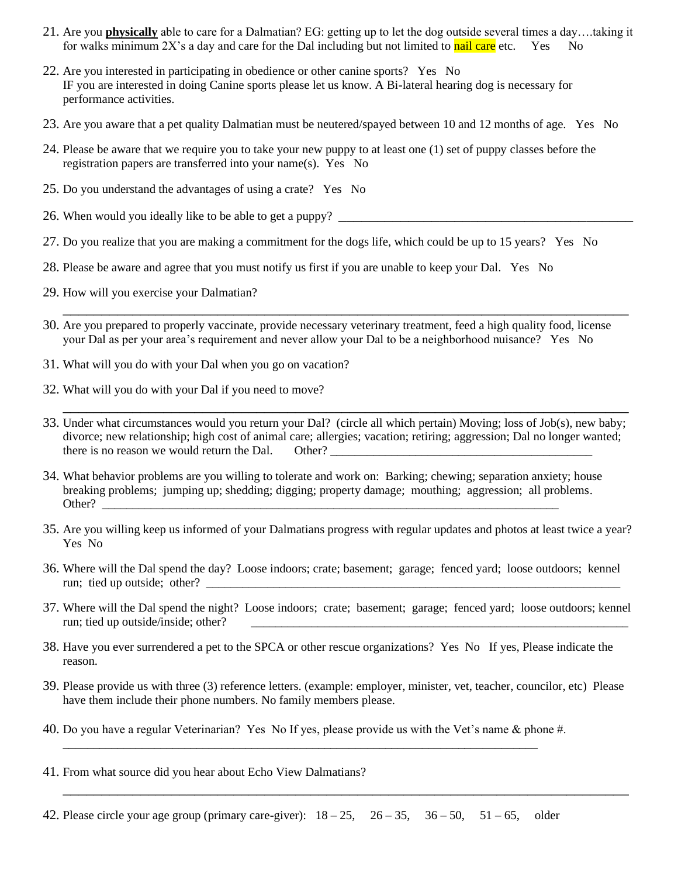- 21. Are you **physically** able to care for a Dalmatian? EG: getting up to let the dog outside several times a day….taking it for walks minimum 2X's a day and care for the Dal including but not limited to nail care etc. Yes No
- 22. Are you interested in participating in obedience or other canine sports? Yes No IF you are interested in doing Canine sports please let us know. A Bi-lateral hearing dog is necessary for performance activities.
- 23. Are you aware that a pet quality Dalmatian must be neutered/spayed between 10 and 12 months of age. Yes No
- 24. Please be aware that we require you to take your new puppy to at least one (1) set of puppy classes before the registration papers are transferred into your name(s). Yes No
- 25. Do you understand the advantages of using a crate? Yes No
- 26. When would you ideally like to be able to get a puppy?
- 27. Do you realize that you are making a commitment for the dogs life, which could be up to 15 years? Yes No
- 28. Please be aware and agree that you must notify us first if you are unable to keep your Dal. Yes No
- 29. How will you exercise your Dalmatian?
- 30. Are you prepared to properly vaccinate, provide necessary veterinary treatment, feed a high quality food, license your Dal as per your area's requirement and never allow your Dal to be a neighborhood nuisance? Yes No

\_\_\_\_\_\_\_\_\_\_\_\_\_\_\_\_\_\_\_\_\_\_\_\_\_\_\_\_\_\_\_\_\_\_\_\_\_\_\_\_\_\_\_\_\_\_\_\_\_\_\_\_\_\_\_\_\_\_\_\_\_\_\_\_\_\_\_\_\_\_\_\_\_

- 31. What will you do with your Dal when you go on vacation?
- 32. What will you do with your Dal if you need to move?
- 33. Under what circumstances would you return your Dal? (circle all which pertain) Moving; loss of Job(s), new baby; divorce; new relationship; high cost of animal care; allergies; vacation; retiring; aggression; Dal no longer wanted; there is no reason we would return the Dal. Other?

\_\_\_\_\_\_\_\_\_\_\_\_\_\_\_\_\_\_\_\_\_\_\_\_\_\_\_\_\_\_\_\_\_\_\_\_\_\_\_\_\_\_\_\_\_\_\_\_\_\_\_\_\_\_\_\_\_\_\_\_\_\_\_\_\_\_\_\_\_\_\_\_\_

- 34. What behavior problems are you willing to tolerate and work on: Barking; chewing; separation anxiety; house breaking problems; jumping up; shedding; digging; property damage; mouthing; aggression; all problems. Other? \_\_\_\_\_\_\_\_\_\_\_\_\_\_\_\_\_\_\_\_\_\_\_\_\_\_\_\_\_\_\_\_\_\_\_\_\_\_\_\_\_\_\_\_\_\_\_\_\_\_\_\_\_\_\_\_\_\_\_\_\_\_\_\_\_\_\_\_\_\_\_\_\_\_\_
- 35. Are you willing keep us informed of your Dalmatians progress with regular updates and photos at least twice a year? Yes No
- 36. Where will the Dal spend the day? Loose indoors; crate; basement; garage; fenced yard; loose outdoors; kennel run; tied up outside; other?
- 37. Where will the Dal spend the night? Loose indoors; crate; basement; garage; fenced yard; loose outdoors; kennel run; tied up outside/inside; other?
- 38. Have you ever surrendered a pet to the SPCA or other rescue organizations? Yes No If yes, Please indicate the reason.
- 39. Please provide us with three (3) reference letters. (example: employer, minister, vet, teacher, councilor, etc) Please have them include their phone numbers. No family members please.

\_\_\_\_\_\_\_\_\_\_\_\_\_\_\_\_\_\_\_\_\_\_\_\_\_\_\_\_\_\_\_\_\_\_\_\_\_\_\_\_\_\_\_\_\_\_\_\_\_\_\_\_\_\_\_\_\_\_\_\_\_\_\_\_\_\_\_\_\_\_\_\_\_

- 40. Do you have a regular Veterinarian? Yes No If yes, please provide us with the Vet's name & phone #. \_\_\_\_\_\_\_\_\_\_\_\_\_\_\_\_\_\_\_\_\_\_\_\_\_\_\_\_\_\_\_\_\_\_\_\_\_\_\_\_\_\_\_\_\_\_\_\_\_\_\_\_\_\_\_\_\_\_\_\_\_\_\_\_\_\_\_\_\_\_\_\_\_\_\_\_\_\_
- 41. From what source did you hear about Echo View Dalmatians?

42. Please circle your age group (primary care-giver):  $18-25$ ,  $26-35$ ,  $36-50$ ,  $51-65$ , older